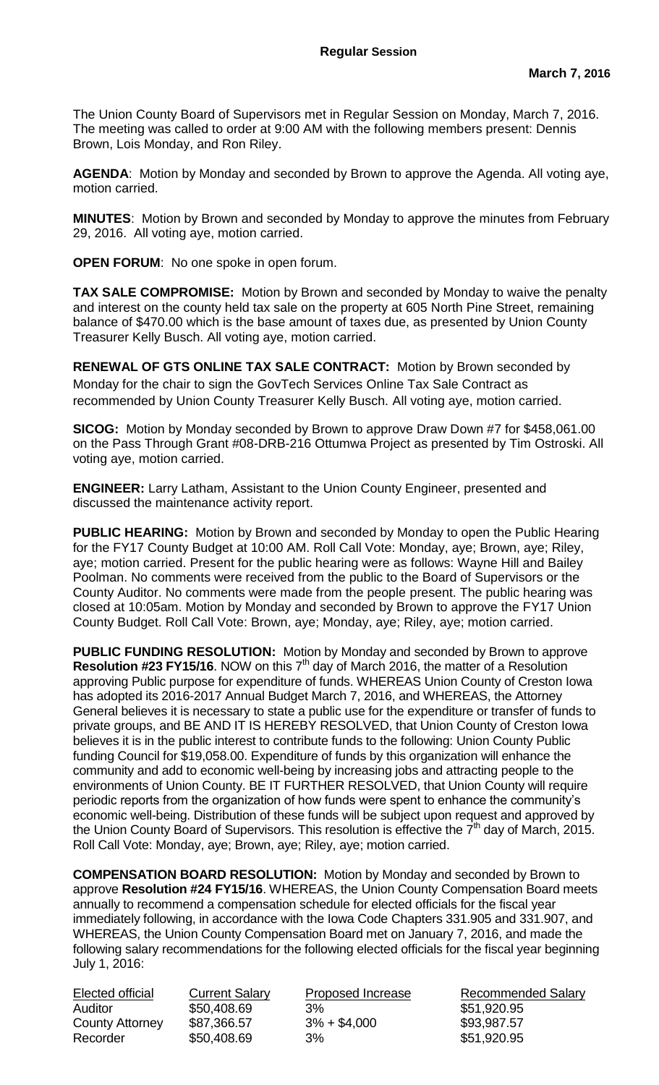The Union County Board of Supervisors met in Regular Session on Monday, March 7, 2016. The meeting was called to order at 9:00 AM with the following members present: Dennis Brown, Lois Monday, and Ron Riley.

**AGENDA**: Motion by Monday and seconded by Brown to approve the Agenda. All voting aye, motion carried.

**MINUTES**: Motion by Brown and seconded by Monday to approve the minutes from February 29, 2016. All voting aye, motion carried.

**OPEN FORUM**: No one spoke in open forum.

**TAX SALE COMPROMISE:** Motion by Brown and seconded by Monday to waive the penalty and interest on the county held tax sale on the property at 605 North Pine Street, remaining balance of \$470.00 which is the base amount of taxes due, as presented by Union County Treasurer Kelly Busch. All voting aye, motion carried.

**RENEWAL OF GTS ONLINE TAX SALE CONTRACT:** Motion by Brown seconded by Monday for the chair to sign the GovTech Services Online Tax Sale Contract as recommended by Union County Treasurer Kelly Busch. All voting aye, motion carried.

**SICOG:** Motion by Monday seconded by Brown to approve Draw Down #7 for \$458,061.00 on the Pass Through Grant #08-DRB-216 Ottumwa Project as presented by Tim Ostroski. All voting aye, motion carried.

**ENGINEER:** Larry Latham, Assistant to the Union County Engineer, presented and discussed the maintenance activity report.

**PUBLIC HEARING:** Motion by Brown and seconded by Monday to open the Public Hearing for the FY17 County Budget at 10:00 AM. Roll Call Vote: Monday, aye; Brown, aye; Riley, aye; motion carried. Present for the public hearing were as follows: Wayne Hill and Bailey Poolman. No comments were received from the public to the Board of Supervisors or the County Auditor. No comments were made from the people present. The public hearing was closed at 10:05am. Motion by Monday and seconded by Brown to approve the FY17 Union County Budget. Roll Call Vote: Brown, aye; Monday, aye; Riley, aye; motion carried.

**PUBLIC FUNDING RESOLUTION:** Motion by Monday and seconded by Brown to approve **Resolution #23 FY15/16**. NOW on this  $7<sup>th</sup>$  day of March 2016, the matter of a Resolution approving Public purpose for expenditure of funds. WHEREAS Union County of Creston Iowa has adopted its 2016-2017 Annual Budget March 7, 2016, and WHEREAS, the Attorney General believes it is necessary to state a public use for the expenditure or transfer of funds to private groups, and BE AND IT IS HEREBY RESOLVED, that Union County of Creston Iowa believes it is in the public interest to contribute funds to the following: Union County Public funding Council for \$19,058.00. Expenditure of funds by this organization will enhance the community and add to economic well-being by increasing jobs and attracting people to the environments of Union County. BE IT FURTHER RESOLVED, that Union County will require periodic reports from the organization of how funds were spent to enhance the community's economic well-being. Distribution of these funds will be subject upon request and approved by the Union County Board of Supervisors. This resolution is effective the  $7<sup>th</sup>$  day of March, 2015. Roll Call Vote: Monday, aye; Brown, aye; Riley, aye; motion carried.

**COMPENSATION BOARD RESOLUTION:** Motion by Monday and seconded by Brown to approve **Resolution #24 FY15/16**. WHEREAS, the Union County Compensation Board meets annually to recommend a compensation schedule for elected officials for the fiscal year immediately following, in accordance with the Iowa Code Chapters 331.905 and 331.907, and WHEREAS, the Union County Compensation Board met on January 7, 2016, and made the following salary recommendations for the following elected officials for the fiscal year beginning July 1, 2016:

| Elected official       | <b>Current Salary</b> | Proposed Increase | <b>Recommended Salary</b> |
|------------------------|-----------------------|-------------------|---------------------------|
| Auditor                | \$50,408.69           | 3%                | \$51,920.95               |
| <b>County Attorney</b> | \$87,366.57           | $3\% + $4,000$    | \$93,987.57               |
| Recorder               | \$50,408.69           | 3%                | \$51,920.95               |